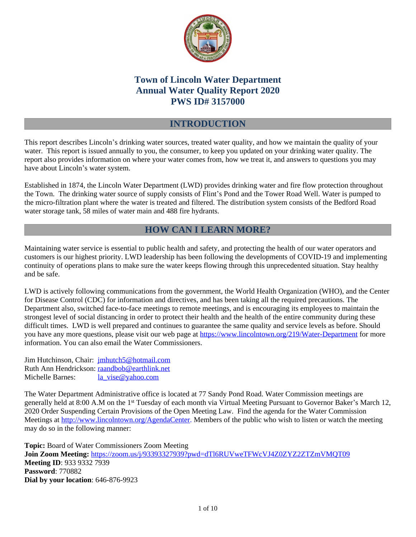

# **Town of Lincoln Water Department Annual Water Quality Report 2020 PWS ID# 3157000**

## **INTRODUCTION**

This report describes Lincoln's drinking water sources, treated water quality, and how we maintain the quality of your water. This report is issued annually to you, the consumer, to keep you updated on your drinking water quality. The report also provides information on where your water comes from, how we treat it, and answers to questions you may have about Lincoln's water system.

Established in 1874, the Lincoln Water Department (LWD) provides drinking water and fire flow protection throughout the Town. The drinking water source of supply consists of Flint's Pond and the Tower Road Well. Water is pumped to the micro-filtration plant where the water is treated and filtered. The distribution system consists of the Bedford Road water storage tank, 58 miles of water main and 488 fire hydrants.

# **HOW CAN I LEARN MORE?**

Maintaining water service is essential to public health and safety, and protecting the health of our water operators and customers is our highest priority. LWD leadership has been following the developments of COVID-19 and implementing continuity of operations plans to make sure the water keeps flowing through this unprecedented situation. Stay healthy and be safe.

LWD is actively following communications from the government, the World Health Organization (WHO), and the Center for Disease Control (CDC) for information and directives, and has been taking all the required precautions. The Department also, switched face-to-face meetings to remote meetings, and is encouraging its employees to maintain the strongest level of social distancing in order to protect their health and the health of the entire community during these difficult times. LWD is well prepared and continues to guarantee the same quality and service levels as before. Should you have any more questions, please visit our web page at<https://www.lincolntown.org/219/Water-Department>for more information. You can also email the Water Commissioners.

Jim Hutchinson, Chair: [jmhutch5@hotmail.com](mailto:jmhutch5@hotmail.com) Ruth Ann Hendrickson: [raandbob@earthlink.net](mailto:raandbob@earthlink.net) Michelle Barnes: [la\\_vise@yahoo.com](mailto:la_vise@yahoo.com)

The Water Department Administrative office is located at 77 Sandy Pond Road. Water Commission meetings are generally held at 8:00 A.M on the 1st Tuesday of each month via Virtual Meeting Pursuant to Governor Baker's March 12, 2020 Order Suspending Certain Provisions of the Open Meeting Law. Find the agenda for the Water Commission Meetings at [http://www.lincolntown.org/AgendaCenter.](http://www.lincolntown.org/AgendaCenter) Members of the public who wish to listen or watch the meeting may do so in the following manner:

**Topic:** Board of Water Commissioners Zoom Meeting **Join Zoom Meeting:** <https://zoom.us/j/93393327939?pwd=dTl6RUVweTFWcVJ4Z0ZYZ2ZTZmVMQT09> **Meeting ID**: 933 9332 7939 **Password**: 770882 **Dial by your location**: 646-876-9923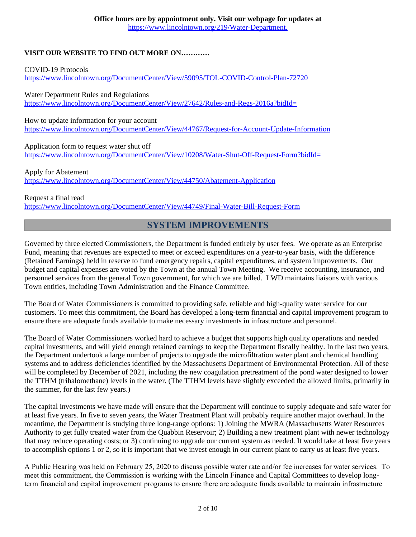### **VISIT OUR WEBSITE TO FIND OUT MORE ON…………**

COVID-19 Protocols <https://www.lincolntown.org/DocumentCenter/View/59095/TOL-COVID-Control-Plan-72720>

Water Department Rules and Regulations <https://www.lincolntown.org/DocumentCenter/View/27642/Rules-and-Regs-2016a?bidId=>

How to update information for your account <https://www.lincolntown.org/DocumentCenter/View/44767/Request-for-Account-Update-Information>

Application form to request water shut off <https://www.lincolntown.org/DocumentCenter/View/10208/Water-Shut-Off-Request-Form?bidId=>

Apply for Abatement <https://www.lincolntown.org/DocumentCenter/View/44750/Abatement-Application>

Request a final read <https://www.lincolntown.org/DocumentCenter/View/44749/Final-Water-Bill-Request-Form>

## **SYSTEM IMPROVEMENTS**

Governed by three elected Commissioners, the Department is funded entirely by user fees. We operate as an Enterprise Fund, meaning that revenues are expected to meet or exceed expenditures on a year-to-year basis, with the difference (Retained Earnings) held in reserve to fund emergency repairs, capital expenditures, and system improvements. Our budget and capital expenses are voted by the Town at the annual Town Meeting. We receive accounting, insurance, and personnel services from the general Town government, for which we are billed. LWD maintains liaisons with various Town entities, including Town Administration and the Finance Committee.

The Board of Water Commissioners is committed to providing safe, reliable and high-quality water service for our customers. To meet this commitment, the Board has developed a long-term financial and capital improvement program to ensure there are adequate funds available to make necessary investments in infrastructure and personnel.

The Board of Water Commissioners worked hard to achieve a budget that supports high quality operations and needed capital investments, and will yield enough retained earnings to keep the Department fiscally healthy. In the last two years, the Department undertook a large number of projects to upgrade the microfiltration water plant and chemical handling systems and to address deficiencies identified by the Massachusetts Department of Environmental Protection. All of these will be completed by December of 2021, including the new coagulation pretreatment of the pond water designed to lower the TTHM (trihalomethane) levels in the water. (The TTHM levels have slightly exceeded the allowed limits, primarily in the summer, for the last few years.)

The capital investments we have made will ensure that the Department will continue to supply adequate and safe water for at least five years. In five to seven years, the Water Treatment Plant will probably require another major overhaul. In the meantime, the Department is studying three long-range options: 1) Joining the MWRA (Massachusetts Water Resources Authority to get fully treated water from the Quabbin Reservoir; 2) Building a new treatment plant with newer technology that may reduce operating costs; or 3) continuing to upgrade our current system as needed. It would take at least five years to accomplish options 1 or 2, so it is important that we invest enough in our current plant to carry us at least five years.

A Public Hearing was held on February 25, 2020 to discuss possible water rate and/or fee increases for water services. To meet this commitment, the Commission is working with the Lincoln Finance and Capital Committees to develop longterm financial and capital improvement programs to ensure there are adequate funds available to maintain infrastructure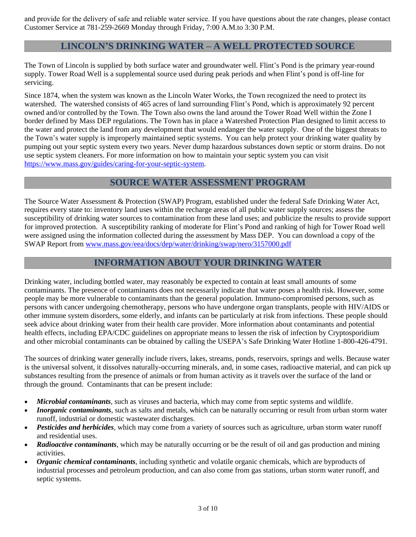and provide for the delivery of safe and reliable water service. If you have questions about the rate changes, please contact Customer Service at 781-259-2669 Monday through Friday, 7:00 A.M.to 3:30 P.M.

## **LINCOLN'S DRINKING WATER – A WELL PROTECTED SOURCE**

The Town of Lincoln is supplied by both surface water and groundwater well. Flint's Pond is the primary year-round supply. Tower Road Well is a supplemental source used during peak periods and when Flint's pond is off-line for servicing.

Since 1874, when the system was known as the Lincoln Water Works, the Town recognized the need to protect its watershed. The watershed consists of 465 acres of land surrounding Flint's Pond, which is approximately 92 percent owned and/or controlled by the Town. The Town also owns the land around the Tower Road Well within the Zone I border defined by Mass DEP regulations. The Town has in place a Watershed Protection Plan designed to limit access to the water and protect the land from any development that would endanger the water supply. One of the biggest threats to the Town's water supply is improperly maintained septic systems. You can help protect your drinking water quality by pumping out your septic system every two years. Never dump hazardous substances down septic or storm drains. Do not use septic system cleaners. For more information on how to maintain your septic system you can visit [https://www.mass.gov/guides/caring-for-your-septic-system.](https://www.mass.gov/guides/caring-for-your-septic-system)

### **SOURCE WATER ASSESSMENT PROGRAM**

The Source Water Assessment & Protection (SWAP) Program, established under the federal Safe Drinking Water Act, requires every state to: inventory land uses within the recharge areas of all public water supply sources; assess the susceptibility of drinking water sources to contamination from these land uses; and publicize the results to provide support for improved protection. A susceptibility ranking of moderate for Flint's Pond and ranking of high for Tower Road well were assigned using the information collected during the assessment by Mass DEP. You can download a copy of the SWAP Report from www.mass.gov/eea/docs/dep/water/drinking/swap/nero/3157000.pdf

## **INFORMATION ABOUT YOUR DRINKING WATER**

Drinking water, including bottled water, may reasonably be expected to contain at least small amounts of some contaminants. The presence of contaminants does not necessarily indicate that water poses a health risk. However, some people may be more vulnerable to contaminants than the general population. Immuno-compromised persons, such as persons with cancer undergoing chemotherapy, persons who have undergone organ transplants, people with HIV/AIDS or other immune system disorders, some elderly, and infants can be particularly at risk from infections. These people should seek advice about drinking water from their health care provider. More information about contaminants and potential health effects, including EPA/CDC guidelines on appropriate means to lessen the risk of infection by Cryptosporidium and other microbial contaminants can be obtained by calling the USEPA's Safe Drinking Water Hotline 1-800-426-4791.

The sources of drinking water generally include rivers, lakes, streams, ponds, reservoirs, springs and wells. Because water is the universal solvent, it dissolves naturally-occurring minerals, and, in some cases, radioactive material, and can pick up substances resulting from the presence of animals or from human activity as it travels over the surface of the land or through the ground. Contaminants that can be present include:

- *Microbial contaminants*, such as viruses and bacteria, which may come from septic systems and wildlife.
- · *Inorganic contaminants*, such as salts and metals, which can be naturally occurring or result from urban storm water runoff, industrial or domestic wastewater discharges.
- *Pesticides and herbicides*, which may come from a variety of sources such as agriculture, urban storm water runoff and residential uses.
- · *Radioactive contaminants*, which may be naturally occurring or be the result of oil and gas production and mining activities.
- · *Organic chemical contaminants*, including synthetic and volatile organic chemicals, which are byproducts of industrial processes and petroleum production, and can also come from gas stations, urban storm water runoff, and septic systems.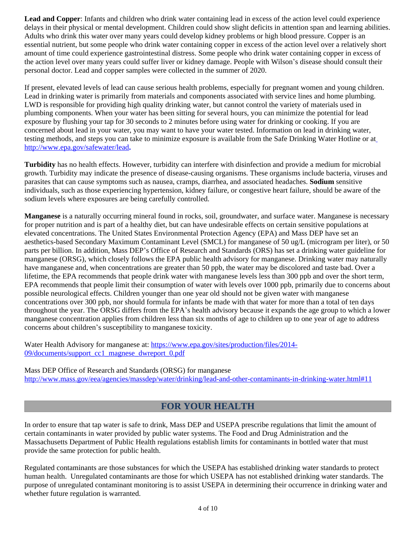Lead and Copper: Infants and children who drink water containing lead in excess of the action level could experience delays in their physical or mental development. Children could show slight deficits in attention span and learning abilities. Adults who drink this water over many years could develop kidney problems or high blood pressure. Copper is an essential nutrient, but some people who drink water containing copper in excess of the action level over a relatively short amount of time could experience gastrointestinal distress. Some people who drink water containing copper in excess of the action level over many years could suffer liver or kidney damage. People with Wilson's disease should consult their personal doctor. Lead and copper samples were collected in the summer of 2020.

If present, elevated levels of lead can cause serious health problems, especially for pregnant women and young children. Lead in drinking water is primarily from materials and components associated with service lines and home plumbing. LWD is responsible for providing high quality drinking water, but cannot control the variety of materials used in plumbing components. When your water has been sitting for several hours, you can minimize the potential for lead exposure by flushing your tap for 30 seconds to 2 minutes before using water for drinking or cooking. If you are concerned about lead in your water, you may want to have your water tested. Information on lead in drinking water, testing methods, and steps you can take to minimize exposure is available from the Safe Drinking Water Hotline or at <http://www.epa.gov/safewater/lead>**.**

**Turbidity** has no health effects. However, turbidity can interfere with disinfection and provide a medium for microbial growth. Turbidity may indicate the presence of disease-causing organisms. These organisms include bacteria, viruses and parasites that can cause symptoms such as nausea, cramps, diarrhea, and associated headaches. **Sodium** sensitive individuals, such as those experiencing hypertension, kidney failure, or congestive heart failure, should be aware of the sodium levels where exposures are being carefully controlled.

**Manganese** is a naturally occurring mineral found in rocks, soil, groundwater, and surface water. Manganese is necessary for proper nutrition and is part of a healthy diet, but can have undesirable effects on certain sensitive populations at elevated concentrations. The United States Environmental Protection Agency (EPA) and Mass DEP have set an aesthetics-based Secondary Maximum Contaminant Level (SMCL) for manganese of 50 ug/L (microgram per liter), or 50 parts per billion. In addition, Mass DEP's Office of Research and Standards (ORS) has set a drinking water guideline for manganese (ORSG), which closely follows the EPA public health advisory for manganese. Drinking water may naturally have manganese and, when concentrations are greater than 50 ppb, the water may be discolored and taste bad. Over a lifetime, the EPA recommends that people drink water with manganese levels less than 300 ppb and over the short term, EPA recommends that people limit their consumption of water with levels over 1000 ppb, primarily due to concerns about possible neurological effects. Children younger than one year old should not be given water with manganese concentrations over 300 ppb, nor should formula for infants be made with that water for more than a total of ten days throughout the year. The ORSG differs from the EPA's health advisory because it expands the age group to which a lower manganese concentration applies from children less than six months of age to children up to one year of age to address concerns about children's susceptibility to manganese toxicity.

Water Health Advisory for manganese at: [https://www.epa.gov/sites/production/files/2014-](https://www.epa.gov/sites/production/files/2014-09/documents/support_cc1_magnese_dwreport_0.pdf) 09/documents/support\_cc1\_magnese\_dwreport\_0.pdf

Mass DEP Office of Research and Standards (ORSG) for manganese <http://www.mass.gov/eea/agencies/massdep/water/drinking/lead-and-other-contaminants-in-drinking-water.html#11>

# **FOR YOUR HEALTH**

In order to ensure that tap water is safe to drink, Mass DEP and USEPA prescribe regulations that limit the amount of certain contaminants in water provided by public water systems. The Food and Drug Administration and the Massachusetts Department of Public Health regulations establish limits for contaminants in bottled water that must provide the same protection for public health.

Regulated contaminants are those substances for which the USEPA has established drinking water standards to protect human health. Unregulated contaminants are those for which USEPA has not established drinking water standards. The purpose of unregulated contaminant monitoring is to assist USEPA in determining their occurrence in drinking water and whether future regulation is warranted.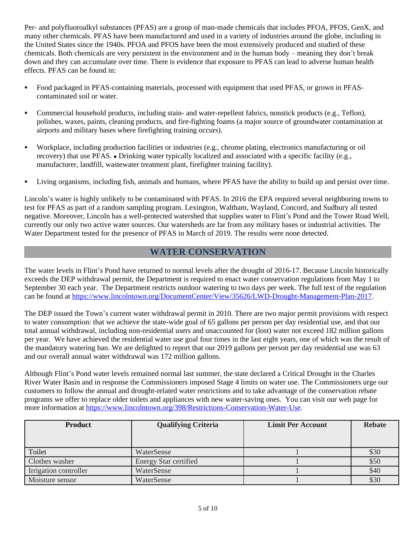Per- and polyfluoroalkyl substances (PFAS) are a group of man-made chemicals that includes PFOA, PFOS, GenX, and many other chemicals. PFAS have been manufactured and used in a variety of industries around the globe, including in the United States since the 1940s. PFOA and PFOS have been the most extensively produced and studied of these chemicals. Both chemicals are very persistent in the environment and in the human body – meaning they don't break down and they can accumulate over time. There is evidence that exposure to PFAS can lead to adverse human health effects. PFAS can be found in:

- Food packaged in PFAS-containing materials, processed with equipment that used PFAS, or grown in PFAScontaminated soil or water.
- Commercial household products, including stain- and water-repellent fabrics, nonstick products (e.g., Teflon), polishes, waxes, paints, cleaning products, and fire-fighting foams (a major source of groundwater contamination at airports and military bases where firefighting training occurs).
- Workplace, including production facilities or industries (e.g., chrome plating, electronics manufacturing or oil recovery) that use PFAS. · Drinking water typically localized and associated with a specific facility (e.g., manufacturer, landfill, wastewater treatment plant, firefighter training facility).
- Living organisms, including fish, animals and humans, where PFAS have the ability to build up and persist over time.

Lincoln's water is highly unlikely to be contaminated with PFAS. In 2016 the EPA required several neighboring towns to test for PFAS as part of a random sampling program. Lexington, Waltham, Wayland, Concord, and Sudbury all tested negative. Moreover, Lincoln has a well-protected watershed that supplies water to Flint's Pond and the Tower Road Well, currently our only two active water sources. Our watersheds are far from any military bases or industrial activities. The Water Department tested for the presence of PFAS in March of 2019. The results were none detected.

## **WATER CONSERVATION**

The water levels in Flint's Pond have returned to normal levels after the drought of 2016-17. Because Lincoln historically exceeds the DEP withdrawal permit, the Department is required to enact water conservation regulations from May 1 to September 30 each year. The Department restricts outdoor watering to two days per week. The full text of the regulation can be found at<https://www.lincolntown.org/DocumentCenter/View/35626/LWD-Drought-Management-Plan-2017>.

The DEP issued the Town's current water withdrawal permit in 2010. There are two major permit provisions with respect to water consumption: that we achieve the state-wide goal of 65 gallons per person per day residential use, and that our total annual withdrawal, including non-residential users and unaccounted for (lost) water not exceed 182 million gallons per year. We have achieved the residential water use goal four times in the last eight years, one of which was the result of the mandatory watering ban. We are delighted to report that our 2019 gallons per person per day residential use was 63 and our overall annual water withdrawal was 172 million gallons.

Although Flint's Pond water levels remained normal last summer, the state declared a Critical Drought in the Charles River Water Basin and in response the Commissioners imposed Stage 4 limits on water use. The Commissioners urge our customers to follow the annual and drought-related water restrictions and to take advantage of the conservation rebate programs we offer to replace older toilets and appliances with new water-saving ones. You can visit our web page for more information at [https://www.lincolntown.org/398/Restrictions-Conservation-Water-Use.](https://www.lincolntown.org/398/Restrictions-Conservation-Water-Use)

| <b>Product</b>        | <b>Qualifying Criteria</b>   | <b>Limit Per Account</b> | <b>Rebate</b> |
|-----------------------|------------------------------|--------------------------|---------------|
| Toilet                | WaterSense                   |                          | \$30          |
| Clothes washer        | <b>Energy Star certified</b> |                          | \$50          |
| Irrigation controller | WaterSense                   |                          | \$40          |
| Moisture sensor       | WaterSense                   |                          | \$30          |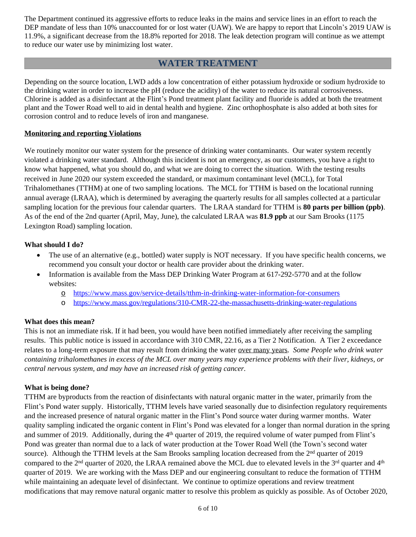The Department continued its aggressive efforts to reduce leaks in the mains and service lines in an effort to reach the DEP mandate of less than 10% unaccounted for or lost water (UAW). We are happy to report that Lincoln's 2019 UAW is 11.9%, a significant decrease from the 18.8% reported for 2018. The leak detection program will continue as we attempt to reduce our water use by minimizing lost water.

## **WATER TREATMENT**

Depending on the source location, LWD adds a low concentration of either potassium hydroxide or sodium hydroxide to the drinking water in order to increase the pH (reduce the acidity) of the water to reduce its natural corrosiveness. Chlorine is added as a disinfectant at the Flint's Pond treatment plant facility and fluoride is added at both the treatment plant and the Tower Road well to aid in dental health and hygiene. Zinc orthophosphate is also added at both sites for corrosion control and to reduce levels of iron and manganese.

#### **Monitoring and reporting Violations**

We routinely monitor our water system for the presence of drinking water contaminants. Our water system recently violated a drinking water standard. Although this incident is not an emergency, as our customers, you have a right to know what happened, what you should do, and what we are doing to correct the situation. With the testing results received in June 2020 our system exceeded the standard, or maximum contaminant level (MCL), for Total Trihalomethanes (TTHM) at one of two sampling locations. The MCL for TTHM is based on the locational running annual average (LRAA), which is determined by averaging the quarterly results for all samples collected at a particular sampling location for the previous four calendar quarters. The LRAA standard for TTHM is **80 parts per billion (ppb)**. As of the end of the 2nd quarter (April, May, June), the calculated LRAA was **81.9 ppb** at our Sam Brooks (1175 Lexington Road) sampling location.

### **What should I do?**

- · The use of an alternative (e.g., bottled) water supply is NOT necessary. If you have specific health concerns, we recommend you consult your doctor or health care provider about the drinking water.
- Information is available from the Mass DEP Drinking Water Program at 617-292-5770 and at the follow websites:
	- o <https://www.mass.gov/service-details/tthm-in-drinking-water-information-for-consumers>
	- o <https://www.mass.gov/regulations/310-CMR-22-the-massachusetts-drinking-water-regulations>

#### **What does this mean?**

This is not an immediate risk. If it had been, you would have been notified immediately after receiving the sampling results. This public notice is issued in accordance with 310 CMR, 22.16, as a Tier 2 Notification. A Tier 2 exceedance relates to a long-term exposure that may result from drinking the water over many years. *Some People who drink water containing trihalomethanes in excess of the MCL over many years may experience problems with their liver, kidneys, or central nervous system, and may have an increased risk of getting cancer.*

#### **What is being done?**

TTHM are byproducts from the reaction of disinfectants with natural organic matter in the water, primarily from the Flint's Pond water supply. Historically, TTHM levels have varied seasonally due to disinfection regulatory requirements and the increased presence of natural organic matter in the Flint's Pond source water during warmer months. Water quality sampling indicated the organic content in Flint's Pond was elevated for a longer than normal duration in the spring and summer of 2019. Additionally, during the 4th quarter of 2019, the required volume of water pumped from Flint's Pond was greater than normal due to a lack of water production at the Tower Road Well (the Town's second water source). Although the TTHM levels at the Sam Brooks sampling location decreased from the 2<sup>nd</sup> quarter of 2019 compared to the  $2<sup>nd</sup>$  quarter of 2020, the LRAA remained above the MCL due to elevated levels in the  $3<sup>rd</sup>$  quarter and  $4<sup>th</sup>$ quarter of 2019. We are working with the Mass DEP and our engineering consultant to reduce the formation of TTHM while maintaining an adequate level of disinfectant. We continue to optimize operations and review treatment modifications that may remove natural organic matter to resolve this problem as quickly as possible. As of October 2020,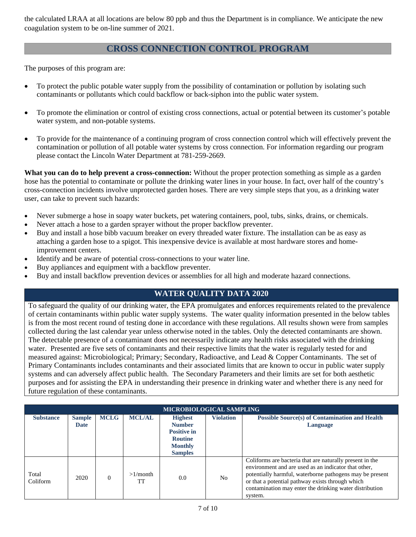the calculated LRAA at all locations are below 80 ppb and thus the Department is in compliance. We anticipate the new coagulation system to be on-line summer of 2021.

## **CROSS CONNECTION CONTROL PROGRAM**

The purposes of this program are:

- · To protect the public potable water supply from the possibility of contamination or pollution by isolating such contaminants or pollutants which could backflow or back-siphon into the public water system.
- · To promote the elimination or control of existing cross connections, actual or potential between its customer's potable water system, and non-potable systems.
- · To provide for the maintenance of a continuing program of cross connection control which will effectively prevent the contamination or pollution of all potable water systems by cross connection. For information regarding our program please contact the Lincoln Water Department at 781-259-2669.

**What you can do to help prevent a cross-connection:** Without the proper protection something as simple as a garden hose has the potential to contaminate or pollute the drinking water lines in your house. In fact, over half of the country's cross-connection incidents involve unprotected garden hoses. There are very simple steps that you, as a drinking water user, can take to prevent such hazards:

- · Never submerge a hose in soapy water buckets, pet watering containers, pool, tubs, sinks, drains, or chemicals.
- · Never attach a hose to a garden sprayer without the proper backflow preventer.
- · Buy and install a hose bibb vacuum breaker on every threaded water fixture. The installation can be as easy as attaching a garden hose to a spigot. This inexpensive device is available at most hardware stores and homeimprovement centers.
- Identify and be aware of potential cross-connections to your water line.
- Buy appliances and equipment with a backflow preventer.
- Buy and install backflow prevention devices or assemblies for all high and moderate hazard connections.

### **WATER QUALITY DATA 2020**

To safeguard the quality of our drinking water, the EPA promulgates and enforces requirements related to the prevalence of certain contaminants within public water supply systems. The water quality information presented in the below tables is from the most recent round of testing done in accordance with these regulations. All results shown were from samples collected during the last calendar year unless otherwise noted in the tables. Only the detected contaminants are shown. The detectable presence of a contaminant does not necessarily indicate any health risks associated with the drinking water. Presented are five sets of contaminants and their respective limits that the water is regularly tested for and measured against: Microbiological; Primary; Secondary, Radioactive, and Lead & Copper Contaminants. The set of Primary Contaminants includes contaminants and their associated limits that are known to occur in public water supply systems and can adversely affect public health. The Secondary Parameters and their limits are set for both aesthetic purposes and for assisting the EPA in understanding their presence in drinking water and whether there is any need for future regulation of these contaminants.

| MICROBIOLOGICAL SAMPLING |                              |             |                   |                                                                                                             |                  |                                                                                                                                                                                                                                                                                                        |  |  |  |
|--------------------------|------------------------------|-------------|-------------------|-------------------------------------------------------------------------------------------------------------|------------------|--------------------------------------------------------------------------------------------------------------------------------------------------------------------------------------------------------------------------------------------------------------------------------------------------------|--|--|--|
| <b>Substance</b>         | <b>Sample</b><br><b>Date</b> | <b>MCLG</b> | <b>MCL/AL</b>     | <b>Highest</b><br><b>Number</b><br><b>Positive in</b><br><b>Routine</b><br><b>Monthly</b><br><b>Samples</b> | <b>Violation</b> | <b>Possible Source(s) of Contamination and Health</b><br>Language                                                                                                                                                                                                                                      |  |  |  |
| Total<br>Coliform        | 2020                         | $\Omega$    | $>1/m$ onth<br>TT | 0.0                                                                                                         | N <sub>o</sub>   | Coliforms are bacteria that are naturally present in the<br>environment and are used as an indicator that other,<br>potentially harmful, waterborne pathogens may be present<br>or that a potential pathway exists through which<br>contamination may enter the drinking water distribution<br>system. |  |  |  |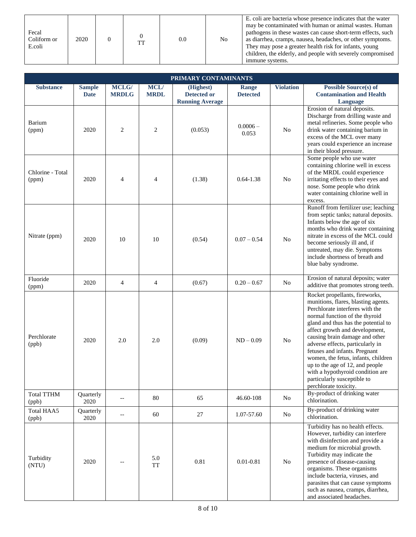| Fecal<br>Coliform or<br>E.coli | 2020 |  | <b>TT</b> | 0.0 | N <sub>0</sub> | E. coli are bacteria whose presence indicates that the water<br>may be contaminated with human or animal wastes. Human<br>pathogens in these wastes can cause short-term effects, such<br>as diarrhea, cramps, nausea, headaches, or other symptoms.<br>They may pose a greater health risk for infants, young<br>children, the elderly, and people with severely compromised<br>immune systems. |
|--------------------------------|------|--|-----------|-----|----------------|--------------------------------------------------------------------------------------------------------------------------------------------------------------------------------------------------------------------------------------------------------------------------------------------------------------------------------------------------------------------------------------------------|
|--------------------------------|------|--|-----------|-----|----------------|--------------------------------------------------------------------------------------------------------------------------------------------------------------------------------------------------------------------------------------------------------------------------------------------------------------------------------------------------------------------------------------------------|

| PRIMARY CONTAMINANTS       |                              |                       |                            |                                                           |                          |                  |                                                                                                                                                                                                                                                                                                                                                                                                                                                                                                  |  |  |  |
|----------------------------|------------------------------|-----------------------|----------------------------|-----------------------------------------------------------|--------------------------|------------------|--------------------------------------------------------------------------------------------------------------------------------------------------------------------------------------------------------------------------------------------------------------------------------------------------------------------------------------------------------------------------------------------------------------------------------------------------------------------------------------------------|--|--|--|
| <b>Substance</b>           | <b>Sample</b><br><b>Date</b> | MCLG/<br><b>MRDLG</b> | <b>MCL/</b><br><b>MRDL</b> | (Highest)<br><b>Detected or</b><br><b>Running Average</b> | Range<br><b>Detected</b> | <b>Violation</b> | <b>Possible Source(s) of</b><br><b>Contamination and Health</b><br>Language                                                                                                                                                                                                                                                                                                                                                                                                                      |  |  |  |
| Barium<br>(ppm)            | 2020                         | $\overline{c}$        | $\overline{c}$             | (0.053)                                                   | $0.0006 -$<br>0.053      | N <sub>o</sub>   | Erosion of natural deposits.<br>Discharge from drilling waste and<br>metal refineries. Some people who<br>drink water containing barium in<br>excess of the MCL over many<br>years could experience an increase<br>in their blood pressure.                                                                                                                                                                                                                                                      |  |  |  |
| Chlorine - Total<br>(ppm)  | 2020                         | $\overline{4}$        | 4                          | (1.38)                                                    | $0.64 - 1.38$            | N <sub>o</sub>   | Some people who use water<br>containing chlorine well in excess<br>of the MRDL could experience<br>irritating effects to their eyes and<br>nose. Some people who drink<br>water containing chlorine well in<br>excess.                                                                                                                                                                                                                                                                           |  |  |  |
| Nitrate (ppm)              | 2020                         | 10                    | 10                         | (0.54)                                                    | $0.07 - 0.54$            | N <sub>o</sub>   | Runoff from fertilizer use; leaching<br>from septic tanks; natural deposits.<br>Infants below the age of six<br>months who drink water containing<br>nitrate in excess of the MCL could<br>become seriously ill and, if<br>untreated, may die. Symptoms<br>include shortness of breath and<br>blue baby syndrome.                                                                                                                                                                                |  |  |  |
| Fluoride<br>(ppm)          | 2020                         | 4                     | 4                          | (0.67)                                                    | $0.20 - 0.67$            | No               | Erosion of natural deposits; water<br>additive that promotes strong teeth.                                                                                                                                                                                                                                                                                                                                                                                                                       |  |  |  |
| Perchlorate<br>(ppb)       | 2020                         | 2.0                   | 2.0                        | (0.09)                                                    | $ND - 0.09$              | N <sub>0</sub>   | Rocket propellants, fireworks,<br>munitions, flares, blasting agents.<br>Perchlorate interferes with the<br>normal function of the thyroid<br>gland and thus has the potential to<br>affect growth and development,<br>causing brain damage and other<br>adverse effects, particularly in<br>fetuses and infants. Pregnant<br>women, the fetus, infants, children<br>up to the age of 12, and people<br>with a hypothyroid condition are<br>particularly susceptible to<br>perchlorate toxicity. |  |  |  |
| <b>Total TTHM</b><br>(ppb) | Quarterly<br>2020            |                       | 80                         | 65                                                        | 46.60-108                | No               | By-product of drinking water<br>chlorination.                                                                                                                                                                                                                                                                                                                                                                                                                                                    |  |  |  |
| Total HAA5<br>(ppb)        | Quarterly<br>2020            | $-$                   | 60                         | 27                                                        | 1.07-57.60               | No               | By-product of drinking water<br>chlorination.                                                                                                                                                                                                                                                                                                                                                                                                                                                    |  |  |  |
| Turbidity<br>(NTU)         | 2020                         |                       | 5.0<br><b>TT</b>           | 0.81                                                      | $0.01 - 0.81$            | No               | Turbidity has no health effects.<br>However, turbidity can interfere<br>with disinfection and provide a<br>medium for microbial growth.<br>Turbidity may indicate the<br>presence of disease-causing<br>organisms. These organisms<br>include bacteria, viruses, and<br>parasites that can cause symptoms<br>such as nausea, cramps, diarrhea,<br>and associated headaches.                                                                                                                      |  |  |  |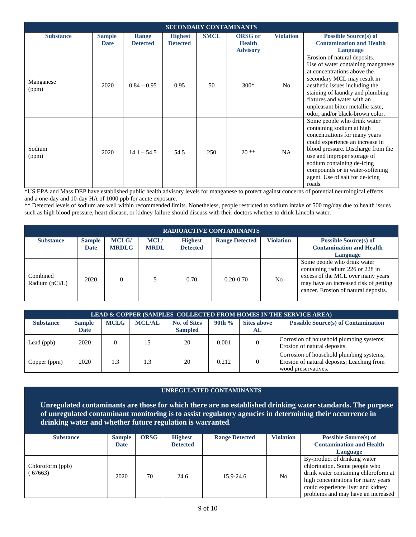| <b>SECONDARY CONTAMINANTS</b> |               |                 |                 |             |                 |                  |                                                                                                                                                                                                                                                                                                                 |  |  |
|-------------------------------|---------------|-----------------|-----------------|-------------|-----------------|------------------|-----------------------------------------------------------------------------------------------------------------------------------------------------------------------------------------------------------------------------------------------------------------------------------------------------------------|--|--|
| <b>Substance</b>              | <b>Sample</b> | Range           | <b>Highest</b>  | <b>SMCL</b> | <b>ORSG</b> or  | <b>Violation</b> | <b>Possible Source(s) of</b>                                                                                                                                                                                                                                                                                    |  |  |
|                               | <b>Date</b>   | <b>Detected</b> | <b>Detected</b> |             | <b>Health</b>   |                  | <b>Contamination and Health</b>                                                                                                                                                                                                                                                                                 |  |  |
|                               |               |                 |                 |             | <b>Advisory</b> |                  | Language                                                                                                                                                                                                                                                                                                        |  |  |
| Manganese<br>(ppm)            | 2020          | $0.84 - 0.95$   | 0.95            | 50          | $300*$          | N <sub>o</sub>   | Erosion of natural deposits.<br>Use of water containing manganese<br>at concentrations above the<br>secondary MCL may result in<br>aesthetic issues including the<br>staining of laundry and plumbing<br>fixtures and water with an<br>unpleasant bitter metallic taste,<br>odor, and/or black-brown color.     |  |  |
| Sodium<br>(ppm)               | 2020          | $14.1 - 54.5$   | 54.5            | 250         | $20**$          | <b>NA</b>        | Some people who drink water<br>containing sodium at high<br>concentrations for many years<br>could experience an increase in<br>blood pressure. Discharge from the<br>use and improper storage of<br>sodium containing de-icing<br>compounds or in water-softening<br>agent. Use of salt for de-icing<br>roads. |  |  |

\*US EPA and Mass DEP have established public health advisory levels for manganese to protect against concerns of potential neurological effects and a one-day and 10-day HA of 1000 ppb for acute exposure.

\*\* Detected levels of sodium are well within recommended limits. Nonetheless, people restricted to sodium intake of 500 mg/day due to health issues such as high blood pressure, heart disease, or kidney failure should discuss with their doctors whether to drink Lincoln water.

| <b>RADIOACTIVE CONTAMINANTS</b> |                              |                              |                            |                                   |                       |                  |                                                                                                                                                                                      |  |  |
|---------------------------------|------------------------------|------------------------------|----------------------------|-----------------------------------|-----------------------|------------------|--------------------------------------------------------------------------------------------------------------------------------------------------------------------------------------|--|--|
| <b>Substance</b>                | <b>Sample</b><br><b>Date</b> | <b>MCLG/</b><br><b>MRDLG</b> | <b>MCL/</b><br><b>MRDL</b> | <b>Highest</b><br><b>Detected</b> | <b>Range Detected</b> | <b>Violation</b> | <b>Possible Source(s) of</b><br><b>Contamination and Health</b><br>Language                                                                                                          |  |  |
| Combined<br>Radium $(pCi/L)$    | 2020                         | $\Omega$                     |                            | 0.70                              | $0.20 - 0.70$         | N <sub>0</sub>   | Some people who drink water<br>containing radium 226 or 228 in<br>excess of the MCL over many years<br>may have an increased risk of getting<br>cancer. Erosion of natural deposits. |  |  |

| LEAD & COPPER (SAMPLES COLLECTED FROM HOMES IN THE SERVICE AREA) |                              |             |               |                                       |           |                          |                                                                                                               |  |  |  |
|------------------------------------------------------------------|------------------------------|-------------|---------------|---------------------------------------|-----------|--------------------------|---------------------------------------------------------------------------------------------------------------|--|--|--|
| <b>Substance</b>                                                 | <b>Sample</b><br><b>Date</b> | <b>MCLG</b> | <b>MCL/AL</b> | <b>No. of Sites</b><br><b>Sampled</b> | $90th \%$ | <b>Sites above</b><br>AL | <b>Possible Source(s) of Contamination</b>                                                                    |  |  |  |
| Lead $(ppb)$                                                     | 2020                         | $\Omega$    | 15            | 20                                    | 0.001     | $\Omega$                 | Corrosion of household plumbing systems;<br>Erosion of natural deposits.                                      |  |  |  |
| Copper (ppm)                                                     | 2020                         | 1.3         | 1.3           | 20                                    | 0.212     | $\Omega$                 | Corrosion of household plumbing systems;<br>Erosion of natural deposits; Leaching from<br>wood preservatives. |  |  |  |

#### **UNREGULATED CONTAMINANTS**

**Unregulated contaminants are those for which there are no established drinking water standards. The purpose of unregulated contaminant monitoring is to assist regulatory agencies in determining their occurrence in drinking water and whether future regulation is warranted***.*

| <b>Substance</b>          | <b>Sample</b><br><b>Date</b> | <b>ORSG</b> | <b>Highest</b><br><b>Detected</b> | <b>Range Detected</b> | <b>Violation</b> | <b>Possible Source(s) of</b><br><b>Contamination and Health</b>                                                                                                                                                        |
|---------------------------|------------------------------|-------------|-----------------------------------|-----------------------|------------------|------------------------------------------------------------------------------------------------------------------------------------------------------------------------------------------------------------------------|
|                           |                              |             |                                   |                       |                  | Language                                                                                                                                                                                                               |
| Chloroform (ppb)<br>67663 | 2020                         | 70          | 24.6                              | $15.9 - 24.6$         | N <sub>0</sub>   | By-product of drinking water<br>chlorination. Some people who<br>drink water containing chloroform at<br>high concentrations for many years<br>could experience liver and kidney<br>problems and may have an increased |